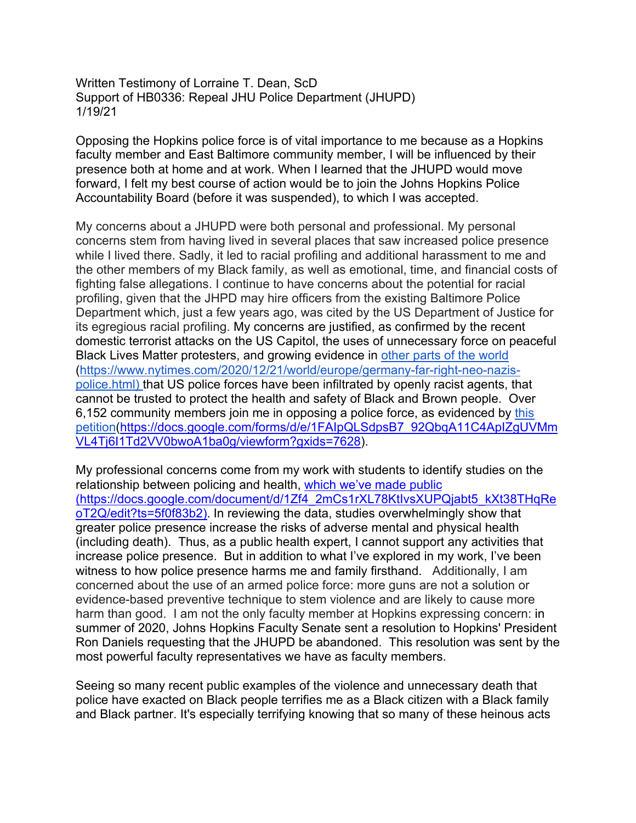Written Testimony of Lorraine T. Dean, ScD Support of HB0336: Repeal JHU Police Department (JHUPD) 1/19/21

Opposing the Hopkins police force is of vital importance to me because as a Hopkins faculty member and East Baltimore community member, I will be influenced by their presence both at home and at work. When I learned that the JHUPD would move forward, I felt my best course of action would be to join the Johns Hopkins Police Accountability Board (before it was suspended), to which I was accepted.

My concerns about a JHUPD were both personal and professional. My personal concerns stem from having lived in several places that saw increased police presence while I lived there. Sadly, it led to racial profiling and additional harassment to me and the other members of my Black family, as well as emotional, time, and financial costs of fighting false allegations. I continue to have concerns about the potential for racial profiling, given that the JHPD may hire officers from the existing Baltimore Police Department which, just a few years ago, was cited by the US Department of Justice for its egregious racial profiling. My concerns are justified, as confirmed by the recent domestic terrorist attacks on the US Capitol, the uses of unnecessary force on peaceful Black Lives Matter protesters, and growing evidence in other parts of the world (https://www.nytimes.com/2020/12/21/world/europe/germany-far-right-neo-nazispolice.html) that US police forces have been infiltrated by openly racist agents, that cannot be trusted to protect the health and safety of Black and Brown people. Over 6,152 community members join me in opposing a police force, as evidenced by this petition(https://docs.google.com/forms/d/e/1FAIpQLSdpsB7\_92QbqA11C4ApIZgUVMm VL4Tj6I1Td2VV0bwoA1ba0g/viewform?gxids=7628).

My professional concerns come from my work with students to identify studies on the relationship between policing and health, which we've made public (https://docs.google.com/document/d/1Zf4\_2mCs1rXL78KtIvsXUPQjabt5\_kXt38THqRe oT2Q/edit?ts=5f0f83b2). In reviewing the data, studies overwhelmingly show that greater police presence increase the risks of adverse mental and physical health (including death). Thus, as a public health expert, I cannot support any activities that increase police presence. But in addition to what I've explored in my work, I've been witness to how police presence harms me and family firsthand. Additionally, I am concerned about the use of an armed police force: more guns are not a solution or evidence-based preventive technique to stem violence and are likely to cause more harm than good. I am not the only faculty member at Hopkins expressing concern: in summer of 2020, Johns Hopkins Faculty Senate sent a resolution to Hopkins' President Ron Daniels requesting that the JHUPD be abandoned. This resolution was sent by the most powerful faculty representatives we have as faculty members.

Seeing so many recent public examples of the violence and unnecessary death that police have exacted on Black people terrifies me as a Black citizen with a Black family and Black partner. It's especially terrifying knowing that so many of these heinous acts